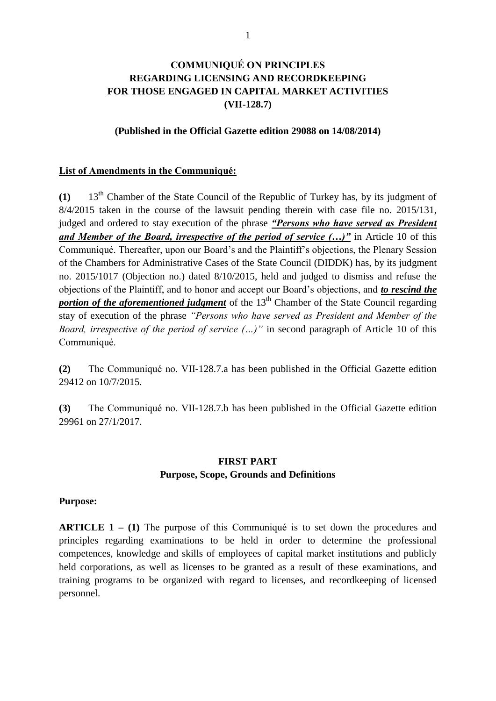# **COMMUNIQUÉ ON PRINCIPLES REGARDING LICENSING AND RECORDKEEPING FOR THOSE ENGAGED IN CAPITAL MARKET ACTIVITIES (VII-128.7)**

#### **(Published in the Official Gazette edition 29088 on 14/08/2014)**

#### **List of Amendments in the Communiqué:**

**(1)** 13th Chamber of the State Council of the Republic of Turkey has, by its judgment of 8/4/2015 taken in the course of the lawsuit pending therein with case file no. 2015/131, judged and ordered to stay execution of the phrase *"Persons who have served as President and Member of the Board, irrespective of the period of service (…)"* in Article 10 of this Communiqué. Thereafter, upon our Board's and the Plaintiff's objections, the Plenary Session of the Chambers for Administrative Cases of the State Council (DIDDK) has, by its judgment no. 2015/1017 (Objection no.) dated 8/10/2015, held and judged to dismiss and refuse the objections of the Plaintiff, and to honor and accept our Board's objections, and *to rescind the portion of the aforementioned judgment* of the 13<sup>th</sup> Chamber of the State Council regarding stay of execution of the phrase *"Persons who have served as President and Member of the Board, irrespective of the period of service (…)"* in second paragraph of Article 10 of this Communiqué.

**(2)** The Communiqué no. VII-128.7.a has been published in the Official Gazette edition 29412 on 10/7/2015.

**(3)** The Communiqué no. VII-128.7.b has been published in the Official Gazette edition 29961 on 27/1/2017.

# **FIRST PART Purpose, Scope, Grounds and Definitions**

#### **Purpose:**

**ARTICLE 1 – (1)** The purpose of this Communiqué is to set down the procedures and principles regarding examinations to be held in order to determine the professional competences, knowledge and skills of employees of capital market institutions and publicly held corporations, as well as licenses to be granted as a result of these examinations, and training programs to be organized with regard to licenses, and recordkeeping of licensed personnel.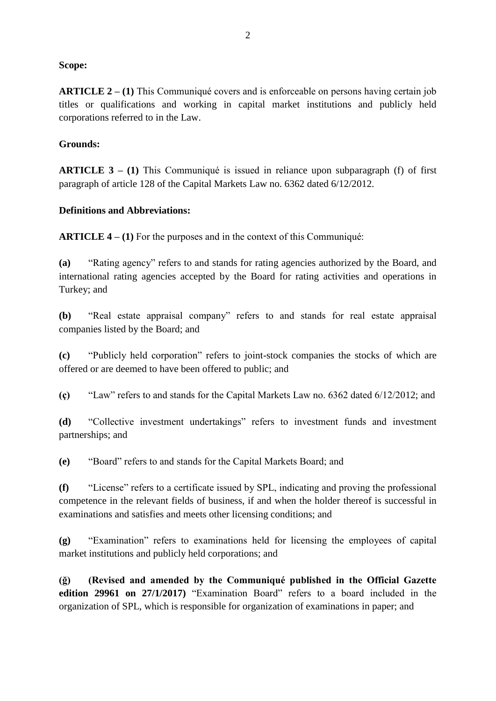#### **Scope:**

**ARTICLE 2 – (1)** This Communiqué covers and is enforceable on persons having certain job titles or qualifications and working in capital market institutions and publicly held corporations referred to in the Law.

#### **Grounds:**

**ARTICLE 3 – (1)** This Communiqué is issued in reliance upon subparagraph (f) of first paragraph of article 128 of the Capital Markets Law no. 6362 dated 6/12/2012.

#### **Definitions and Abbreviations:**

**ARTICLE 4 – (1)** For the purposes and in the context of this Communiqué:

**(a)** "Rating agency" refers to and stands for rating agencies authorized by the Board, and international rating agencies accepted by the Board for rating activities and operations in Turkey; and

**(b)** "Real estate appraisal company" refers to and stands for real estate appraisal companies listed by the Board; and

**(c)** "Publicly held corporation" refers to joint-stock companies the stocks of which are offered or are deemed to have been offered to public; and

**(ç)** "Law" refers to and stands for the Capital Markets Law no. 6362 dated 6/12/2012; and

**(d)** "Collective investment undertakings" refers to investment funds and investment partnerships; and

**(e)** "Board" refers to and stands for the Capital Markets Board; and

**(f)** "License" refers to a certificate issued by SPL, indicating and proving the professional competence in the relevant fields of business, if and when the holder thereof is successful in examinations and satisfies and meets other licensing conditions; and

**(g)** "Examination" refers to examinations held for licensing the employees of capital market institutions and publicly held corporations; and

**(ğ) (Revised and amended by the Communiqué published in the Official Gazette edition 29961 on 27/1/2017)** "Examination Board" refers to a board included in the organization of SPL, which is responsible for organization of examinations in paper; and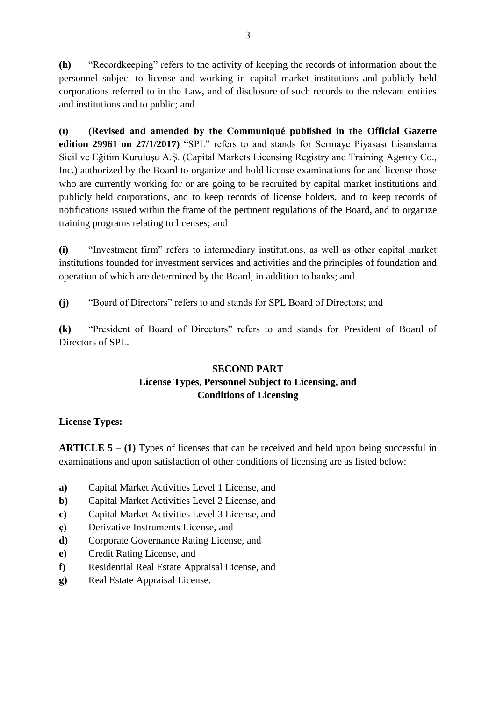**(h)** "Recordkeeping" refers to the activity of keeping the records of information about the personnel subject to license and working in capital market institutions and publicly held corporations referred to in the Law, and of disclosure of such records to the relevant entities and institutions and to public; and

**(ı) (Revised and amended by the Communiqué published in the Official Gazette edition 29961 on 27/1/2017)** "SPL" refers to and stands for Sermaye Piyasası Lisanslama Sicil ve Eğitim Kuruluşu A.Ş. (Capital Markets Licensing Registry and Training Agency Co., Inc.) authorized by the Board to organize and hold license examinations for and license those who are currently working for or are going to be recruited by capital market institutions and publicly held corporations, and to keep records of license holders, and to keep records of notifications issued within the frame of the pertinent regulations of the Board, and to organize training programs relating to licenses; and

**(i)** "Investment firm" refers to intermediary institutions, as well as other capital market institutions founded for investment services and activities and the principles of foundation and operation of which are determined by the Board, in addition to banks; and

**(j)** "Board of Directors" refers to and stands for SPL Board of Directors; and

**(k)** "President of Board of Directors" refers to and stands for President of Board of Directors of SPL.

# **SECOND PART License Types, Personnel Subject to Licensing, and Conditions of Licensing**

# **License Types:**

**ARTICLE 5 – (1)** Types of licenses that can be received and held upon being successful in examinations and upon satisfaction of other conditions of licensing are as listed below:

- **a)** Capital Market Activities Level 1 License, and
- **b)** Capital Market Activities Level 2 License, and
- **c)** Capital Market Activities Level 3 License, and
- **ç)** Derivative Instruments License, and
- **d)** Corporate Governance Rating License, and
- **e)** Credit Rating License, and
- **f)** Residential Real Estate Appraisal License, and
- **g)** Real Estate Appraisal License.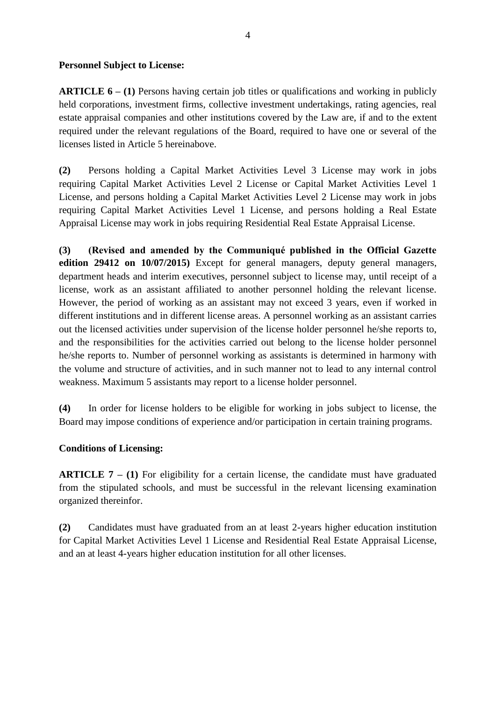#### **Personnel Subject to License:**

**ARTICLE 6 – (1)** Persons having certain job titles or qualifications and working in publicly held corporations, investment firms, collective investment undertakings, rating agencies, real estate appraisal companies and other institutions covered by the Law are, if and to the extent required under the relevant regulations of the Board, required to have one or several of the licenses listed in Article 5 hereinabove.

**(2)** Persons holding a Capital Market Activities Level 3 License may work in jobs requiring Capital Market Activities Level 2 License or Capital Market Activities Level 1 License, and persons holding a Capital Market Activities Level 2 License may work in jobs requiring Capital Market Activities Level 1 License, and persons holding a Real Estate Appraisal License may work in jobs requiring Residential Real Estate Appraisal License.

**(3) (Revised and amended by the Communiqué published in the Official Gazette edition 29412 on 10/07/2015)** Except for general managers, deputy general managers, department heads and interim executives, personnel subject to license may, until receipt of a license, work as an assistant affiliated to another personnel holding the relevant license. However, the period of working as an assistant may not exceed 3 years, even if worked in different institutions and in different license areas. A personnel working as an assistant carries out the licensed activities under supervision of the license holder personnel he/she reports to, and the responsibilities for the activities carried out belong to the license holder personnel he/she reports to. Number of personnel working as assistants is determined in harmony with the volume and structure of activities, and in such manner not to lead to any internal control weakness. Maximum 5 assistants may report to a license holder personnel.

**(4)** In order for license holders to be eligible for working in jobs subject to license, the Board may impose conditions of experience and/or participation in certain training programs.

### **Conditions of Licensing:**

**ARTICLE 7 – (1)** For eligibility for a certain license, the candidate must have graduated from the stipulated schools, and must be successful in the relevant licensing examination organized thereinfor.

**(2)** Candidates must have graduated from an at least 2-years higher education institution for Capital Market Activities Level 1 License and Residential Real Estate Appraisal License, and an at least 4-years higher education institution for all other licenses.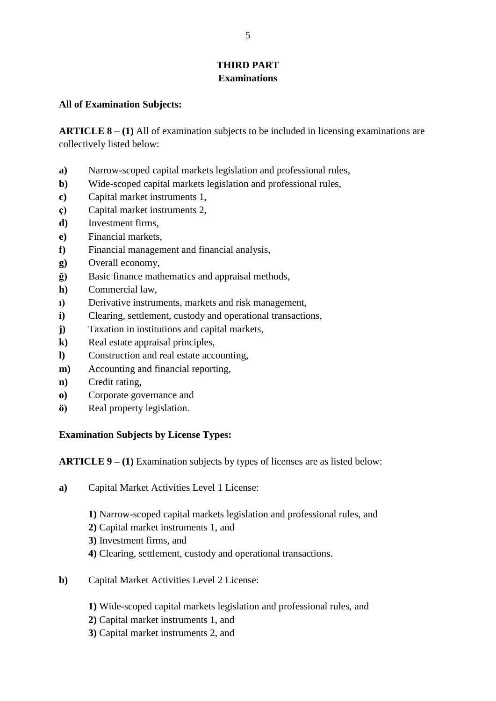# **THIRD PART Examinations**

#### **All of Examination Subjects:**

**ARTICLE 8 – (1)** All of examination subjects to be included in licensing examinations are collectively listed below:

- **a)** Narrow-scoped capital markets legislation and professional rules,
- **b)** Wide-scoped capital markets legislation and professional rules,
- **c)** Capital market instruments 1,
- **ç)** Capital market instruments 2,
- **d)** Investment firms,
- **e)** Financial markets,
- **f)** Financial management and financial analysis,
- **g)** Overall economy,
- **ğ)** Basic finance mathematics and appraisal methods,
- **h)** Commercial law,
- **ı)** Derivative instruments, markets and risk management,
- **i)** Clearing, settlement, custody and operational transactions,
- **j)** Taxation in institutions and capital markets,
- **k)** Real estate appraisal principles,
- **l)** Construction and real estate accounting,
- **m)** Accounting and financial reporting,
- **n)** Credit rating,
- **o)** Corporate governance and
- **ö)** Real property legislation.

#### **Examination Subjects by License Types:**

**ARTICLE 9 – (1)** Examination subjects by types of licenses are as listed below:

- **a)** Capital Market Activities Level 1 License:
	- **1)** Narrow-scoped capital markets legislation and professional rules, and
	- **2)** Capital market instruments 1, and
	- **3)** Investment firms, and
	- **4)** Clearing, settlement, custody and operational transactions.
- **b)** Capital Market Activities Level 2 License:
	- **1)** Wide-scoped capital markets legislation and professional rules, and
	- **2)** Capital market instruments 1, and
	- **3)** Capital market instruments 2, and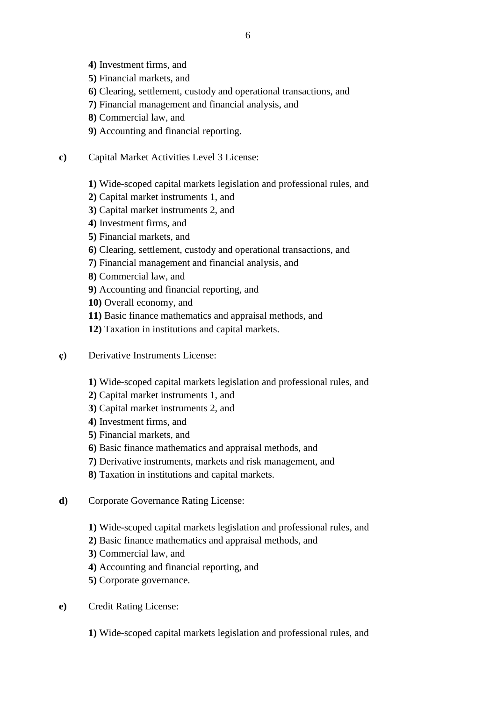- **4)** Investment firms, and
- **5)** Financial markets, and
- **6)** Clearing, settlement, custody and operational transactions, and
- **7)** Financial management and financial analysis, and
- **8)** Commercial law, and
- **9)** Accounting and financial reporting.
- **c)** Capital Market Activities Level 3 License:
	- **1)** Wide-scoped capital markets legislation and professional rules, and
	- **2)** Capital market instruments 1, and
	- **3)** Capital market instruments 2, and
	- **4)** Investment firms, and
	- **5)** Financial markets, and
	- **6)** Clearing, settlement, custody and operational transactions, and
	- **7)** Financial management and financial analysis, and
	- **8)** Commercial law, and
	- **9)** Accounting and financial reporting, and
	- **10)** Overall economy, and
	- **11)** Basic finance mathematics and appraisal methods, and
	- **12)** Taxation in institutions and capital markets.
- **ç)** Derivative Instruments License:
	- **1)** Wide-scoped capital markets legislation and professional rules, and
	- **2)** Capital market instruments 1, and
	- **3)** Capital market instruments 2, and
	- **4)** Investment firms, and
	- **5)** Financial markets, and
	- **6)** Basic finance mathematics and appraisal methods, and
	- **7)** Derivative instruments, markets and risk management, and
	- **8)** Taxation in institutions and capital markets.
- **d)** Corporate Governance Rating License:
	- **1)** Wide-scoped capital markets legislation and professional rules, and
	- **2)** Basic finance mathematics and appraisal methods, and
	- **3)** Commercial law, and
	- **4)** Accounting and financial reporting, and
	- **5)** Corporate governance.
- **e)** Credit Rating License:
	- **1)** Wide-scoped capital markets legislation and professional rules, and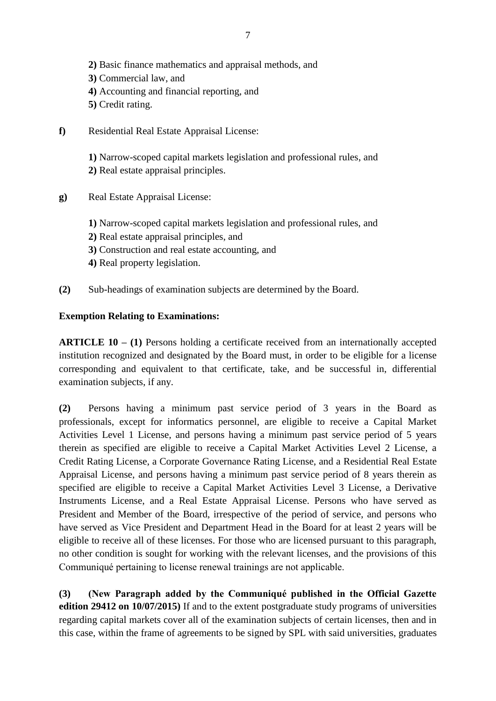- **2)** Basic finance mathematics and appraisal methods, and **3)** Commercial law, and **4)** Accounting and financial reporting, and **5)** Credit rating.
- **f)** Residential Real Estate Appraisal License:

**1)** Narrow-scoped capital markets legislation and professional rules, and **2)** Real estate appraisal principles.

- **g)** Real Estate Appraisal License:
	- **1)** Narrow-scoped capital markets legislation and professional rules, and
	- **2)** Real estate appraisal principles, and
	- **3)** Construction and real estate accounting, and
	- **4)** Real property legislation.
- **(2)** Sub-headings of examination subjects are determined by the Board.

#### **Exemption Relating to Examinations:**

**ARTICLE 10 – (1)** Persons holding a certificate received from an internationally accepted institution recognized and designated by the Board must, in order to be eligible for a license corresponding and equivalent to that certificate, take, and be successful in, differential examination subjects, if any.

**(2)** Persons having a minimum past service period of 3 years in the Board as professionals, except for informatics personnel, are eligible to receive a Capital Market Activities Level 1 License, and persons having a minimum past service period of 5 years therein as specified are eligible to receive a Capital Market Activities Level 2 License, a Credit Rating License, a Corporate Governance Rating License, and a Residential Real Estate Appraisal License, and persons having a minimum past service period of 8 years therein as specified are eligible to receive a Capital Market Activities Level 3 License, a Derivative Instruments License, and a Real Estate Appraisal License. Persons who have served as President and Member of the Board, irrespective of the period of service, and persons who have served as Vice President and Department Head in the Board for at least 2 years will be eligible to receive all of these licenses. For those who are licensed pursuant to this paragraph, no other condition is sought for working with the relevant licenses, and the provisions of this Communiqué pertaining to license renewal trainings are not applicable.

**(3) (New Paragraph added by the Communiqué published in the Official Gazette edition 29412 on 10/07/2015)** If and to the extent postgraduate study programs of universities regarding capital markets cover all of the examination subjects of certain licenses, then and in this case, within the frame of agreements to be signed by SPL with said universities, graduates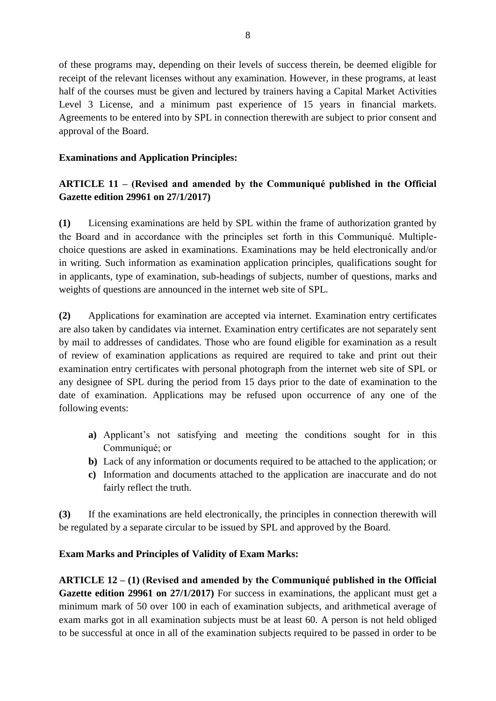of these programs may, depending on their levels of success therein, be deemed eligible for receipt of the relevant licenses without any examination. However, in these programs, at least half of the courses must be given and lectured by trainers having a Capital Market Activities Level 3 License, and a minimum past experience of 15 years in financial markets. Agreements to be entered into by SPL in connection therewith are subject to prior consent and approval of the Board.

### **Examinations and Application Principles:**

# **ARTICLE 11 – (Revised and amended by the Communiqué published in the Official Gazette edition 29961 on 27/1/2017)**

**(1)** Licensing examinations are held by SPL within the frame of authorization granted by the Board and in accordance with the principles set forth in this Communiqué. Multiplechoice questions are asked in examinations. Examinations may be held electronically and/or in writing. Such information as examination application principles, qualifications sought for in applicants, type of examination, sub-headings of subjects, number of questions, marks and weights of questions are announced in the internet web site of SPL.

**(2)** Applications for examination are accepted via internet. Examination entry certificates are also taken by candidates via internet. Examination entry certificates are not separately sent by mail to addresses of candidates. Those who are found eligible for examination as a result of review of examination applications as required are required to take and print out their examination entry certificates with personal photograph from the internet web site of SPL or any designee of SPL during the period from 15 days prior to the date of examination to the date of examination. Applications may be refused upon occurrence of any one of the following events:

- **a)** Applicant's not satisfying and meeting the conditions sought for in this Communiqué; or
- **b)** Lack of any information or documents required to be attached to the application; or
- **c)** Information and documents attached to the application are inaccurate and do not fairly reflect the truth.

**(3)** If the examinations are held electronically, the principles in connection therewith will be regulated by a separate circular to be issued by SPL and approved by the Board.

# **Exam Marks and Principles of Validity of Exam Marks:**

**ARTICLE 12 – (1) (Revised and amended by the Communiqué published in the Official Gazette edition 29961 on 27/1/2017)** For success in examinations, the applicant must get a minimum mark of 50 over 100 in each of examination subjects, and arithmetical average of exam marks got in all examination subjects must be at least 60. A person is not held obliged to be successful at once in all of the examination subjects required to be passed in order to be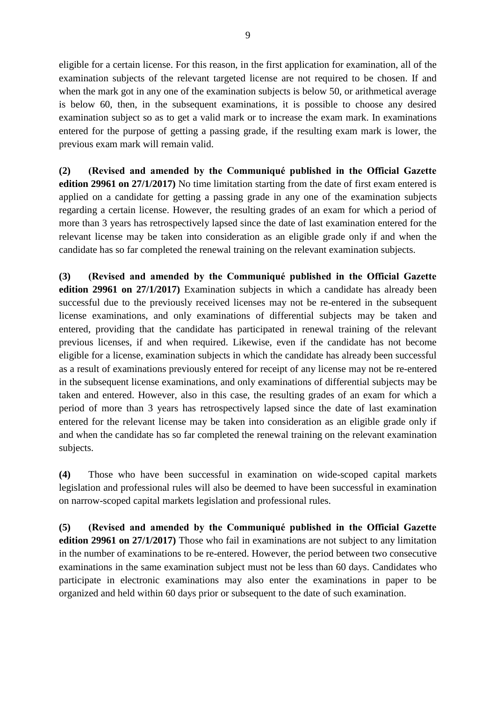eligible for a certain license. For this reason, in the first application for examination, all of the examination subjects of the relevant targeted license are not required to be chosen. If and when the mark got in any one of the examination subjects is below 50, or arithmetical average is below 60, then, in the subsequent examinations, it is possible to choose any desired examination subject so as to get a valid mark or to increase the exam mark. In examinations entered for the purpose of getting a passing grade, if the resulting exam mark is lower, the previous exam mark will remain valid.

**(2) (Revised and amended by the Communiqué published in the Official Gazette edition 29961 on 27/1/2017)** No time limitation starting from the date of first exam entered is applied on a candidate for getting a passing grade in any one of the examination subjects regarding a certain license. However, the resulting grades of an exam for which a period of more than 3 years has retrospectively lapsed since the date of last examination entered for the relevant license may be taken into consideration as an eligible grade only if and when the candidate has so far completed the renewal training on the relevant examination subjects.

**(3) (Revised and amended by the Communiqué published in the Official Gazette edition 29961 on 27/1/2017)** Examination subjects in which a candidate has already been successful due to the previously received licenses may not be re-entered in the subsequent license examinations, and only examinations of differential subjects may be taken and entered, providing that the candidate has participated in renewal training of the relevant previous licenses, if and when required. Likewise, even if the candidate has not become eligible for a license, examination subjects in which the candidate has already been successful as a result of examinations previously entered for receipt of any license may not be re-entered in the subsequent license examinations, and only examinations of differential subjects may be taken and entered. However, also in this case, the resulting grades of an exam for which a period of more than 3 years has retrospectively lapsed since the date of last examination entered for the relevant license may be taken into consideration as an eligible grade only if and when the candidate has so far completed the renewal training on the relevant examination subjects.

**(4)** Those who have been successful in examination on wide-scoped capital markets legislation and professional rules will also be deemed to have been successful in examination on narrow-scoped capital markets legislation and professional rules.

**(5) (Revised and amended by the Communiqué published in the Official Gazette edition 29961 on 27/1/2017)** Those who fail in examinations are not subject to any limitation in the number of examinations to be re-entered. However, the period between two consecutive examinations in the same examination subject must not be less than 60 days. Candidates who participate in electronic examinations may also enter the examinations in paper to be organized and held within 60 days prior or subsequent to the date of such examination.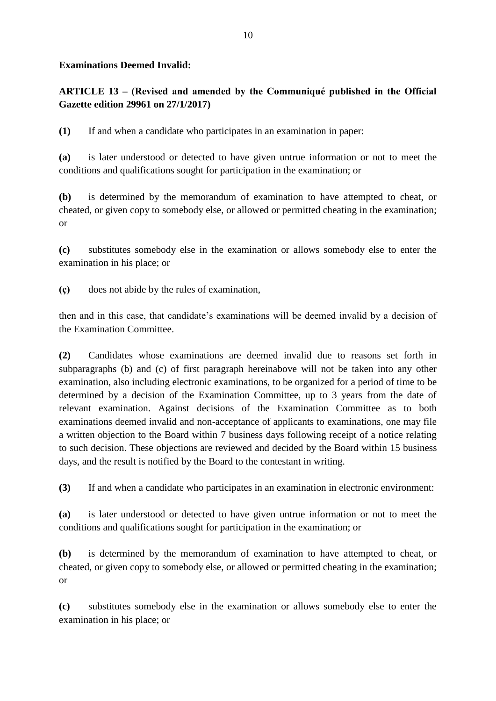### **Examinations Deemed Invalid:**

# **ARTICLE 13 – (Revised and amended by the Communiqué published in the Official Gazette edition 29961 on 27/1/2017)**

**(1)** If and when a candidate who participates in an examination in paper:

**(a)** is later understood or detected to have given untrue information or not to meet the conditions and qualifications sought for participation in the examination; or

**(b)** is determined by the memorandum of examination to have attempted to cheat, or cheated, or given copy to somebody else, or allowed or permitted cheating in the examination; or

**(c)** substitutes somebody else in the examination or allows somebody else to enter the examination in his place; or

**(ç)** does not abide by the rules of examination,

then and in this case, that candidate's examinations will be deemed invalid by a decision of the Examination Committee.

**(2)** Candidates whose examinations are deemed invalid due to reasons set forth in subparagraphs (b) and (c) of first paragraph hereinabove will not be taken into any other examination, also including electronic examinations, to be organized for a period of time to be determined by a decision of the Examination Committee, up to 3 years from the date of relevant examination. Against decisions of the Examination Committee as to both examinations deemed invalid and non-acceptance of applicants to examinations, one may file a written objection to the Board within 7 business days following receipt of a notice relating to such decision. These objections are reviewed and decided by the Board within 15 business days, and the result is notified by the Board to the contestant in writing.

**(3)** If and when a candidate who participates in an examination in electronic environment:

**(a)** is later understood or detected to have given untrue information or not to meet the conditions and qualifications sought for participation in the examination; or

**(b)** is determined by the memorandum of examination to have attempted to cheat, or cheated, or given copy to somebody else, or allowed or permitted cheating in the examination; or

**(c)** substitutes somebody else in the examination or allows somebody else to enter the examination in his place; or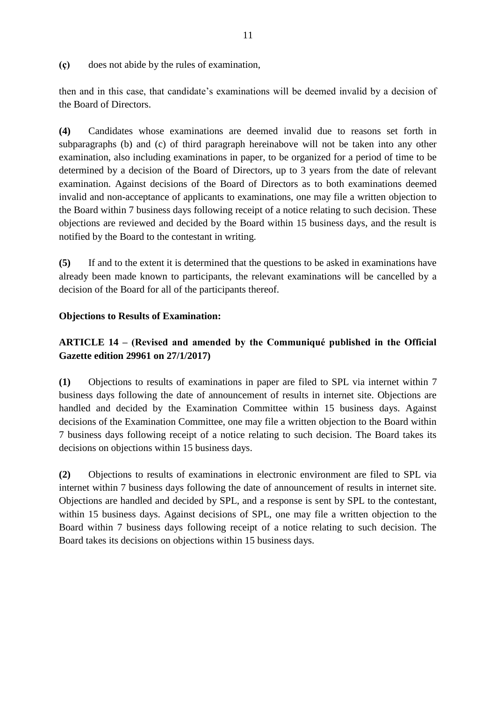**(ç)** does not abide by the rules of examination,

then and in this case, that candidate's examinations will be deemed invalid by a decision of the Board of Directors.

**(4)** Candidates whose examinations are deemed invalid due to reasons set forth in subparagraphs (b) and (c) of third paragraph hereinabove will not be taken into any other examination, also including examinations in paper, to be organized for a period of time to be determined by a decision of the Board of Directors, up to 3 years from the date of relevant examination. Against decisions of the Board of Directors as to both examinations deemed invalid and non-acceptance of applicants to examinations, one may file a written objection to the Board within 7 business days following receipt of a notice relating to such decision. These objections are reviewed and decided by the Board within 15 business days, and the result is notified by the Board to the contestant in writing.

**(5)** If and to the extent it is determined that the questions to be asked in examinations have already been made known to participants, the relevant examinations will be cancelled by a decision of the Board for all of the participants thereof.

#### **Objections to Results of Examination:**

# **ARTICLE 14 – (Revised and amended by the Communiqué published in the Official Gazette edition 29961 on 27/1/2017)**

**(1)** Objections to results of examinations in paper are filed to SPL via internet within 7 business days following the date of announcement of results in internet site. Objections are handled and decided by the Examination Committee within 15 business days. Against decisions of the Examination Committee, one may file a written objection to the Board within 7 business days following receipt of a notice relating to such decision. The Board takes its decisions on objections within 15 business days.

**(2)** Objections to results of examinations in electronic environment are filed to SPL via internet within 7 business days following the date of announcement of results in internet site. Objections are handled and decided by SPL, and a response is sent by SPL to the contestant, within 15 business days. Against decisions of SPL, one may file a written objection to the Board within 7 business days following receipt of a notice relating to such decision. The Board takes its decisions on objections within 15 business days.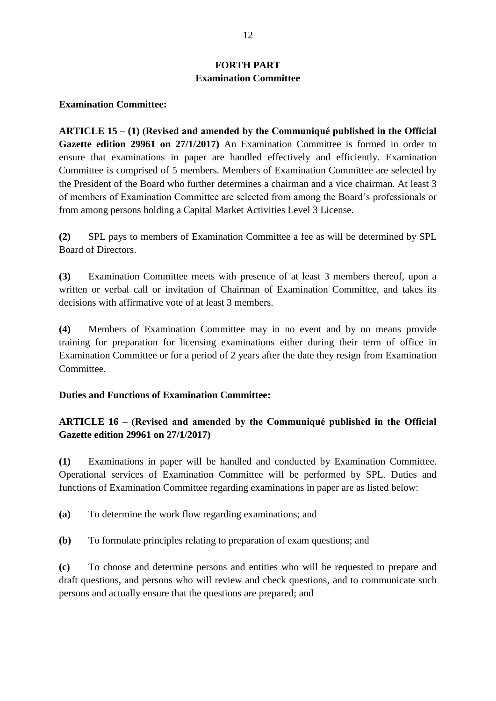# **FORTH PART Examination Committee**

#### **Examination Committee:**

**ARTICLE 15 – (1) (Revised and amended by the Communiqué published in the Official Gazette edition 29961 on 27/1/2017)** An Examination Committee is formed in order to ensure that examinations in paper are handled effectively and efficiently. Examination Committee is comprised of 5 members. Members of Examination Committee are selected by the President of the Board who further determines a chairman and a vice chairman. At least 3 of members of Examination Committee are selected from among the Board's professionals or from among persons holding a Capital Market Activities Level 3 License.

**(2)** SPL pays to members of Examination Committee a fee as will be determined by SPL Board of Directors.

**(3)** Examination Committee meets with presence of at least 3 members thereof, upon a written or verbal call or invitation of Chairman of Examination Committee, and takes its decisions with affirmative vote of at least 3 members.

**(4)** Members of Examination Committee may in no event and by no means provide training for preparation for licensing examinations either during their term of office in Examination Committee or for a period of 2 years after the date they resign from Examination Committee.

### **Duties and Functions of Examination Committee:**

## **ARTICLE 16 – (Revised and amended by the Communiqué published in the Official Gazette edition 29961 on 27/1/2017)**

**(1)** Examinations in paper will be handled and conducted by Examination Committee. Operational services of Examination Committee will be performed by SPL. Duties and functions of Examination Committee regarding examinations in paper are as listed below:

**(a)** To determine the work flow regarding examinations; and

**(b)** To formulate principles relating to preparation of exam questions; and

**(c)** To choose and determine persons and entities who will be requested to prepare and draft questions, and persons who will review and check questions, and to communicate such persons and actually ensure that the questions are prepared; and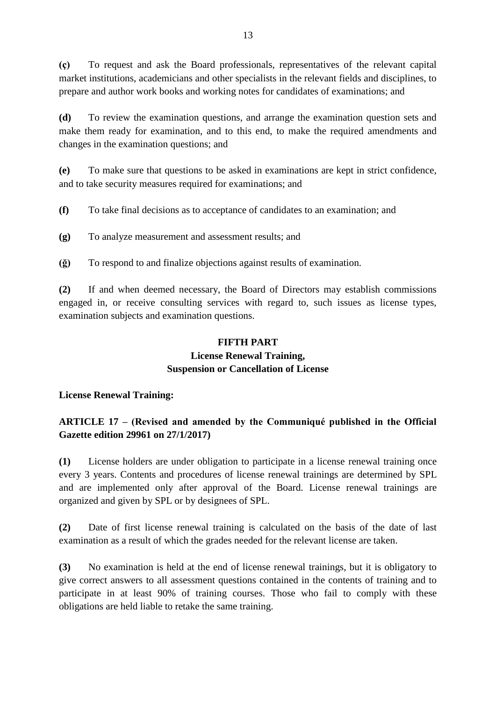**(ç)** To request and ask the Board professionals, representatives of the relevant capital market institutions, academicians and other specialists in the relevant fields and disciplines, to prepare and author work books and working notes for candidates of examinations; and

**(d)** To review the examination questions, and arrange the examination question sets and make them ready for examination, and to this end, to make the required amendments and changes in the examination questions; and

**(e)** To make sure that questions to be asked in examinations are kept in strict confidence, and to take security measures required for examinations; and

**(f)** To take final decisions as to acceptance of candidates to an examination; and

**(g)** To analyze measurement and assessment results; and

**(ğ)** To respond to and finalize objections against results of examination.

**(2)** If and when deemed necessary, the Board of Directors may establish commissions engaged in, or receive consulting services with regard to, such issues as license types, examination subjects and examination questions.

#### **FIFTH PART**

#### **License Renewal Training, Suspension or Cancellation of License**

### **License Renewal Training:**

# **ARTICLE 17 – (Revised and amended by the Communiqué published in the Official Gazette edition 29961 on 27/1/2017)**

**(1)** License holders are under obligation to participate in a license renewal training once every 3 years. Contents and procedures of license renewal trainings are determined by SPL and are implemented only after approval of the Board. License renewal trainings are organized and given by SPL or by designees of SPL.

**(2)** Date of first license renewal training is calculated on the basis of the date of last examination as a result of which the grades needed for the relevant license are taken.

**(3)** No examination is held at the end of license renewal trainings, but it is obligatory to give correct answers to all assessment questions contained in the contents of training and to participate in at least 90% of training courses. Those who fail to comply with these obligations are held liable to retake the same training.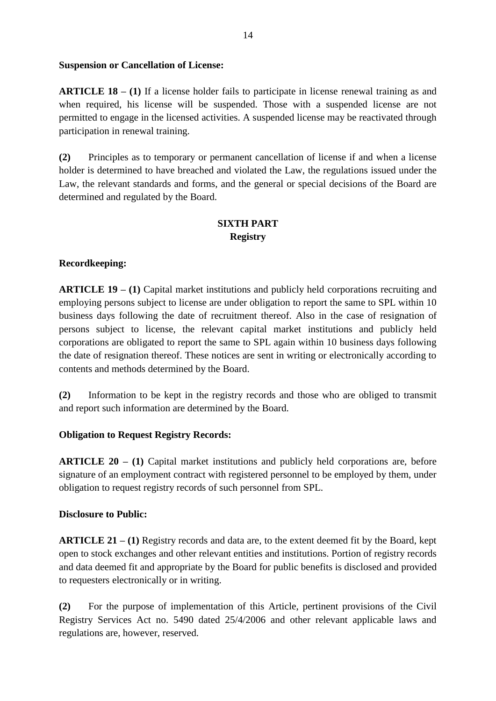#### **Suspension or Cancellation of License:**

**ARTICLE 18 – (1)** If a license holder fails to participate in license renewal training as and when required, his license will be suspended. Those with a suspended license are not permitted to engage in the licensed activities. A suspended license may be reactivated through participation in renewal training.

**(2)** Principles as to temporary or permanent cancellation of license if and when a license holder is determined to have breached and violated the Law, the regulations issued under the Law, the relevant standards and forms, and the general or special decisions of the Board are determined and regulated by the Board.

# **SIXTH PART Registry**

### **Recordkeeping:**

**ARTICLE 19 – (1)** Capital market institutions and publicly held corporations recruiting and employing persons subject to license are under obligation to report the same to SPL within 10 business days following the date of recruitment thereof. Also in the case of resignation of persons subject to license, the relevant capital market institutions and publicly held corporations are obligated to report the same to SPL again within 10 business days following the date of resignation thereof. These notices are sent in writing or electronically according to contents and methods determined by the Board.

**(2)** Information to be kept in the registry records and those who are obliged to transmit and report such information are determined by the Board.

### **Obligation to Request Registry Records:**

**ARTICLE 20 – (1)** Capital market institutions and publicly held corporations are, before signature of an employment contract with registered personnel to be employed by them, under obligation to request registry records of such personnel from SPL.

### **Disclosure to Public:**

**ARTICLE 21 – (1)** Registry records and data are, to the extent deemed fit by the Board, kept open to stock exchanges and other relevant entities and institutions. Portion of registry records and data deemed fit and appropriate by the Board for public benefits is disclosed and provided to requesters electronically or in writing.

**(2)** For the purpose of implementation of this Article, pertinent provisions of the Civil Registry Services Act no. 5490 dated 25/4/2006 and other relevant applicable laws and regulations are, however, reserved.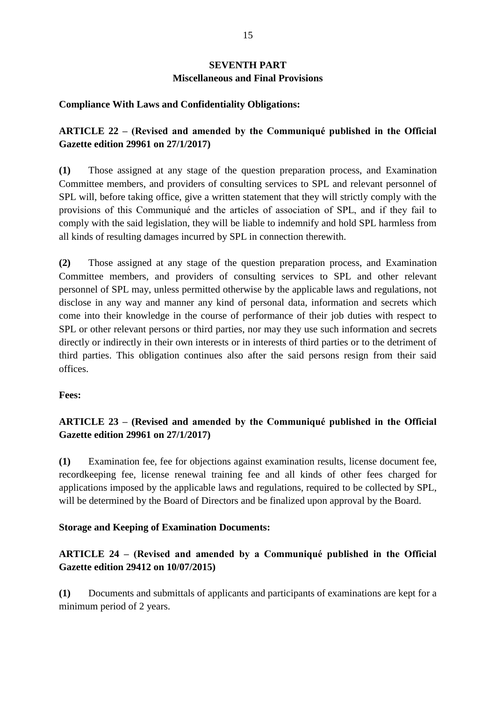# **SEVENTH PART Miscellaneous and Final Provisions**

### **Compliance With Laws and Confidentiality Obligations:**

# **ARTICLE 22 – (Revised and amended by the Communiqué published in the Official Gazette edition 29961 on 27/1/2017)**

**(1)** Those assigned at any stage of the question preparation process, and Examination Committee members, and providers of consulting services to SPL and relevant personnel of SPL will, before taking office, give a written statement that they will strictly comply with the provisions of this Communiqué and the articles of association of SPL, and if they fail to comply with the said legislation, they will be liable to indemnify and hold SPL harmless from all kinds of resulting damages incurred by SPL in connection therewith.

**(2)** Those assigned at any stage of the question preparation process, and Examination Committee members, and providers of consulting services to SPL and other relevant personnel of SPL may, unless permitted otherwise by the applicable laws and regulations, not disclose in any way and manner any kind of personal data, information and secrets which come into their knowledge in the course of performance of their job duties with respect to SPL or other relevant persons or third parties, nor may they use such information and secrets directly or indirectly in their own interests or in interests of third parties or to the detriment of third parties. This obligation continues also after the said persons resign from their said offices.

### **Fees:**

# **ARTICLE 23 – (Revised and amended by the Communiqué published in the Official Gazette edition 29961 on 27/1/2017)**

**(1)** Examination fee, fee for objections against examination results, license document fee, recordkeeping fee, license renewal training fee and all kinds of other fees charged for applications imposed by the applicable laws and regulations, required to be collected by SPL, will be determined by the Board of Directors and be finalized upon approval by the Board.

#### **Storage and Keeping of Examination Documents:**

# **ARTICLE 24 – (Revised and amended by a Communiqué published in the Official Gazette edition 29412 on 10/07/2015)**

**(1)** Documents and submittals of applicants and participants of examinations are kept for a minimum period of 2 years.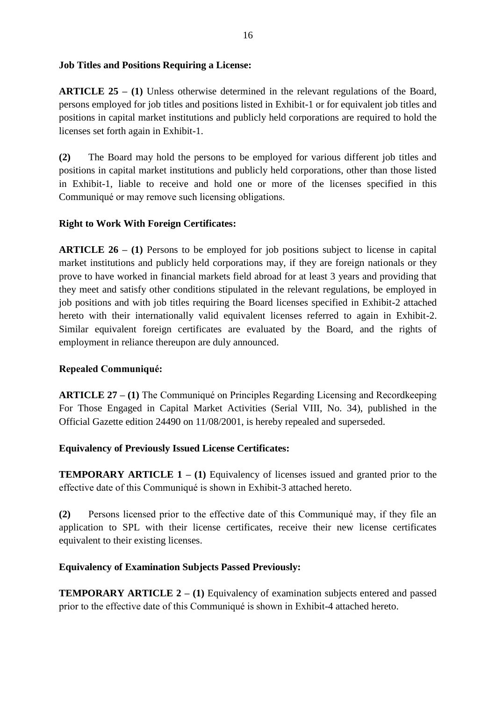### **Job Titles and Positions Requiring a License:**

**ARTICLE 25 – (1)** Unless otherwise determined in the relevant regulations of the Board, persons employed for job titles and positions listed in Exhibit-1 or for equivalent job titles and positions in capital market institutions and publicly held corporations are required to hold the licenses set forth again in Exhibit-1.

**(2)** The Board may hold the persons to be employed for various different job titles and positions in capital market institutions and publicly held corporations, other than those listed in Exhibit-1, liable to receive and hold one or more of the licenses specified in this Communiqué or may remove such licensing obligations.

## **Right to Work With Foreign Certificates:**

**ARTICLE 26 – (1)** Persons to be employed for job positions subject to license in capital market institutions and publicly held corporations may, if they are foreign nationals or they prove to have worked in financial markets field abroad for at least 3 years and providing that they meet and satisfy other conditions stipulated in the relevant regulations, be employed in job positions and with job titles requiring the Board licenses specified in Exhibit-2 attached hereto with their internationally valid equivalent licenses referred to again in Exhibit-2. Similar equivalent foreign certificates are evaluated by the Board, and the rights of employment in reliance thereupon are duly announced.

### **Repealed Communiqué:**

**ARTICLE 27 – (1)** The Communiqué on Principles Regarding Licensing and Recordkeeping For Those Engaged in Capital Market Activities (Serial VIII, No. 34), published in the Official Gazette edition 24490 on 11/08/2001, is hereby repealed and superseded.

### **Equivalency of Previously Issued License Certificates:**

**TEMPORARY ARTICLE 1 – (1)** Equivalency of licenses issued and granted prior to the effective date of this Communiqué is shown in Exhibit-3 attached hereto.

**(2)** Persons licensed prior to the effective date of this Communiqué may, if they file an application to SPL with their license certificates, receive their new license certificates equivalent to their existing licenses.

### **Equivalency of Examination Subjects Passed Previously:**

**TEMPORARY ARTICLE 2 – (1)** Equivalency of examination subjects entered and passed prior to the effective date of this Communiqué is shown in Exhibit-4 attached hereto.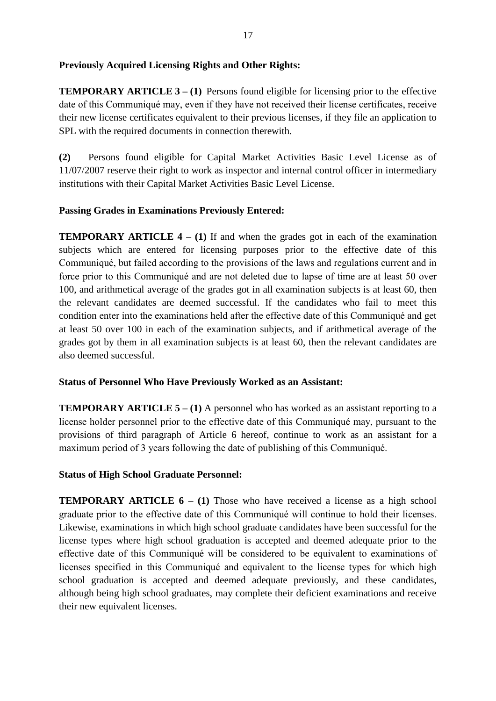### **Previously Acquired Licensing Rights and Other Rights:**

**TEMPORARY ARTICLE 3 – (1)** Persons found eligible for licensing prior to the effective date of this Communiqué may, even if they have not received their license certificates, receive their new license certificates equivalent to their previous licenses, if they file an application to SPL with the required documents in connection therewith.

**(2)** Persons found eligible for Capital Market Activities Basic Level License as of 11/07/2007 reserve their right to work as inspector and internal control officer in intermediary institutions with their Capital Market Activities Basic Level License.

## **Passing Grades in Examinations Previously Entered:**

**TEMPORARY ARTICLE 4 – (1)** If and when the grades got in each of the examination subjects which are entered for licensing purposes prior to the effective date of this Communiqué, but failed according to the provisions of the laws and regulations current and in force prior to this Communiqué and are not deleted due to lapse of time are at least 50 over 100, and arithmetical average of the grades got in all examination subjects is at least 60, then the relevant candidates are deemed successful. If the candidates who fail to meet this condition enter into the examinations held after the effective date of this Communiqué and get at least 50 over 100 in each of the examination subjects, and if arithmetical average of the grades got by them in all examination subjects is at least 60, then the relevant candidates are also deemed successful.

### **Status of Personnel Who Have Previously Worked as an Assistant:**

**TEMPORARY ARTICLE 5 – (1)** A personnel who has worked as an assistant reporting to a license holder personnel prior to the effective date of this Communiqué may, pursuant to the provisions of third paragraph of Article 6 hereof, continue to work as an assistant for a maximum period of 3 years following the date of publishing of this Communiqué.

### **Status of High School Graduate Personnel:**

**TEMPORARY ARTICLE 6 – (1)** Those who have received a license as a high school graduate prior to the effective date of this Communiqué will continue to hold their licenses. Likewise, examinations in which high school graduate candidates have been successful for the license types where high school graduation is accepted and deemed adequate prior to the effective date of this Communiqué will be considered to be equivalent to examinations of licenses specified in this Communiqué and equivalent to the license types for which high school graduation is accepted and deemed adequate previously, and these candidates, although being high school graduates, may complete their deficient examinations and receive their new equivalent licenses.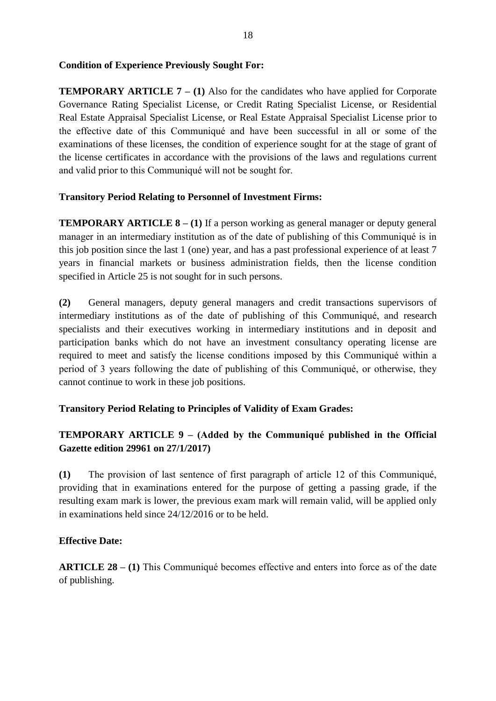#### **Condition of Experience Previously Sought For:**

**TEMPORARY ARTICLE 7 – (1)** Also for the candidates who have applied for Corporate Governance Rating Specialist License, or Credit Rating Specialist License, or Residential Real Estate Appraisal Specialist License, or Real Estate Appraisal Specialist License prior to the effective date of this Communiqué and have been successful in all or some of the examinations of these licenses, the condition of experience sought for at the stage of grant of the license certificates in accordance with the provisions of the laws and regulations current and valid prior to this Communiqué will not be sought for.

#### **Transitory Period Relating to Personnel of Investment Firms:**

**TEMPORARY ARTICLE 8 – (1)** If a person working as general manager or deputy general manager in an intermediary institution as of the date of publishing of this Communiqué is in this job position since the last 1 (one) year, and has a past professional experience of at least 7 years in financial markets or business administration fields, then the license condition specified in Article 25 is not sought for in such persons.

**(2)** General managers, deputy general managers and credit transactions supervisors of intermediary institutions as of the date of publishing of this Communiqué, and research specialists and their executives working in intermediary institutions and in deposit and participation banks which do not have an investment consultancy operating license are required to meet and satisfy the license conditions imposed by this Communiqué within a period of 3 years following the date of publishing of this Communiqué, or otherwise, they cannot continue to work in these job positions.

### **Transitory Period Relating to Principles of Validity of Exam Grades:**

# **TEMPORARY ARTICLE 9 – (Added by the Communiqué published in the Official Gazette edition 29961 on 27/1/2017)**

**(1)** The provision of last sentence of first paragraph of article 12 of this Communiqué, providing that in examinations entered for the purpose of getting a passing grade, if the resulting exam mark is lower, the previous exam mark will remain valid, will be applied only in examinations held since 24/12/2016 or to be held.

### **Effective Date:**

**ARTICLE 28 – (1)** This Communiqué becomes effective and enters into force as of the date of publishing.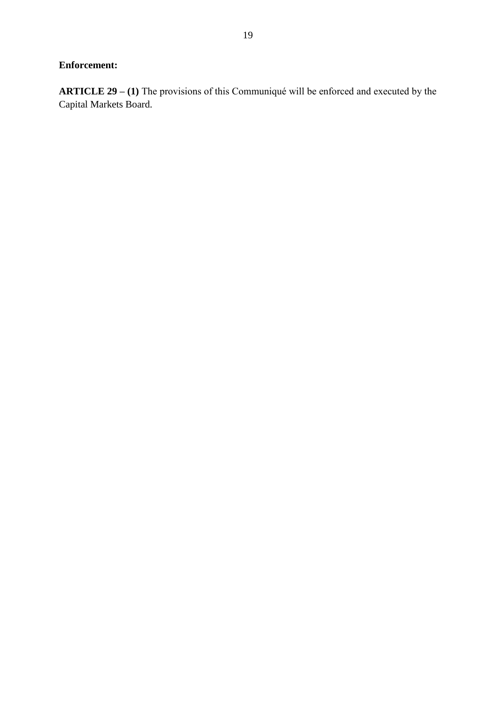# **Enforcement:**

**ARTICLE 29 – (1)** The provisions of this Communiqué will be enforced and executed by the Capital Markets Board.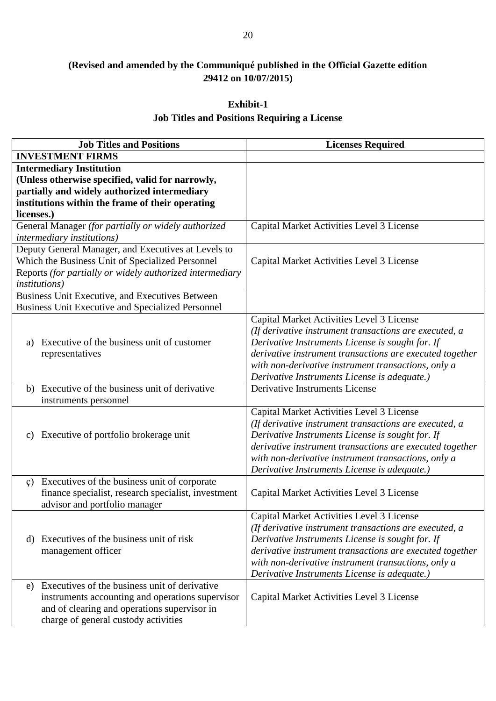# **(Revised and amended by the Communiqué published in the Official Gazette edition 29412 on 10/07/2015)**

# **Exhibit-1 Job Titles and Positions Requiring a License**

| <b>Job Titles and Positions</b>                                                                                                                                                                       | <b>Licenses Required</b>                                                                                                                                                                                                                                                                                                   |
|-------------------------------------------------------------------------------------------------------------------------------------------------------------------------------------------------------|----------------------------------------------------------------------------------------------------------------------------------------------------------------------------------------------------------------------------------------------------------------------------------------------------------------------------|
| <b>INVESTMENT FIRMS</b>                                                                                                                                                                               |                                                                                                                                                                                                                                                                                                                            |
| <b>Intermediary Institution</b><br>(Unless otherwise specified, valid for narrowly,<br>partially and widely authorized intermediary<br>institutions within the frame of their operating<br>licenses.) |                                                                                                                                                                                                                                                                                                                            |
| General Manager (for partially or widely authorized<br><i>intermediary institutions)</i>                                                                                                              | Capital Market Activities Level 3 License                                                                                                                                                                                                                                                                                  |
| Deputy General Manager, and Executives at Levels to<br>Which the Business Unit of Specialized Personnel<br>Reports (for partially or widely authorized intermediary<br><i>institutions</i> )          | Capital Market Activities Level 3 License                                                                                                                                                                                                                                                                                  |
| Business Unit Executive, and Executives Between<br><b>Business Unit Executive and Specialized Personnel</b>                                                                                           |                                                                                                                                                                                                                                                                                                                            |
| Executive of the business unit of customer<br>a)<br>representatives                                                                                                                                   | Capital Market Activities Level 3 License<br>(If derivative instrument transactions are executed, a<br>Derivative Instruments License is sought for. If<br>derivative instrument transactions are executed together<br>with non-derivative instrument transactions, only a<br>Derivative Instruments License is adequate.) |
| b) Executive of the business unit of derivative<br>instruments personnel                                                                                                                              | Derivative Instruments License                                                                                                                                                                                                                                                                                             |
| c) Executive of portfolio brokerage unit                                                                                                                                                              | Capital Market Activities Level 3 License<br>(If derivative instrument transactions are executed, a<br>Derivative Instruments License is sought for. If<br>derivative instrument transactions are executed together<br>with non-derivative instrument transactions, only a<br>Derivative Instruments License is adequate.) |
| Executives of the business unit of corporate<br>$\varphi$ )<br>finance specialist, research specialist, investment<br>advisor and portfolio manager                                                   | Capital Market Activities Level 3 License                                                                                                                                                                                                                                                                                  |
| d) Executives of the business unit of risk<br>management officer                                                                                                                                      | Capital Market Activities Level 3 License<br>(If derivative instrument transactions are executed, a<br>Derivative Instruments License is sought for. If<br>derivative instrument transactions are executed together<br>with non-derivative instrument transactions, only a<br>Derivative Instruments License is adequate.) |
| Executives of the business unit of derivative<br>e)<br>instruments accounting and operations supervisor<br>and of clearing and operations supervisor in<br>charge of general custody activities       | Capital Market Activities Level 3 License                                                                                                                                                                                                                                                                                  |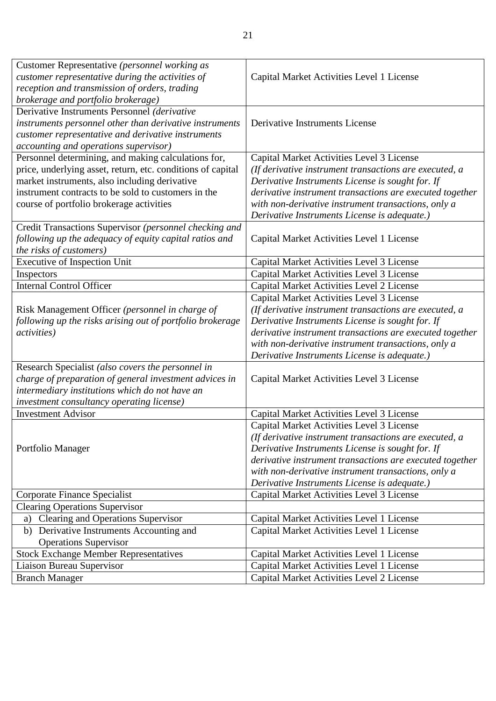| Customer Representative (personnel working as               |                                                          |
|-------------------------------------------------------------|----------------------------------------------------------|
| customer representative during the activities of            | Capital Market Activities Level 1 License                |
| reception and transmission of orders, trading               |                                                          |
| brokerage and portfolio brokerage)                          |                                                          |
| Derivative Instruments Personnel (derivative                |                                                          |
| instruments personnel other than derivative instruments     | Derivative Instruments License                           |
| customer representative and derivative instruments          |                                                          |
| accounting and operations supervisor)                       |                                                          |
| Personnel determining, and making calculations for,         | Capital Market Activities Level 3 License                |
| price, underlying asset, return, etc. conditions of capital | (If derivative instrument transactions are executed, a   |
| market instruments, also including derivative               | Derivative Instruments License is sought for. If         |
| instrument contracts to be sold to customers in the         | derivative instrument transactions are executed together |
| course of portfolio brokerage activities                    | with non-derivative instrument transactions, only a      |
|                                                             | Derivative Instruments License is adequate.)             |
| Credit Transactions Supervisor (personnel checking and      |                                                          |
| following up the adequacy of equity capital ratios and      | Capital Market Activities Level 1 License                |
| the risks of customers)                                     |                                                          |
| <b>Executive of Inspection Unit</b>                         | Capital Market Activities Level 3 License                |
| Inspectors                                                  | Capital Market Activities Level 3 License                |
| <b>Internal Control Officer</b>                             | Capital Market Activities Level 2 License                |
|                                                             | Capital Market Activities Level 3 License                |
| Risk Management Officer (personnel in charge of             | (If derivative instrument transactions are executed, a   |
| following up the risks arising out of portfolio brokerage   | Derivative Instruments License is sought for. If         |
| <i>activities</i> )                                         | derivative instrument transactions are executed together |
|                                                             | with non-derivative instrument transactions, only a      |
|                                                             | Derivative Instruments License is adequate.)             |
| Research Specialist (also covers the personnel in           |                                                          |
| charge of preparation of general investment advices in      | Capital Market Activities Level 3 License                |
| intermediary institutions which do not have an              |                                                          |
| investment consultancy operating license)                   |                                                          |
| <b>Investment Advisor</b>                                   | Capital Market Activities Level 3 License                |
|                                                             | Capital Market Activities Level 3 License                |
|                                                             | (If derivative instrument transactions are executed, a   |
| Portfolio Manager                                           | Derivative Instruments License is sought for. If         |
|                                                             | derivative instrument transactions are executed together |
|                                                             | with non-derivative instrument transactions, only a      |
|                                                             | Derivative Instruments License is adequate.)             |
| Corporate Finance Specialist                                | Capital Market Activities Level 3 License                |
| <b>Clearing Operations Supervisor</b>                       |                                                          |
| Clearing and Operations Supervisor<br>a)                    | Capital Market Activities Level 1 License                |
| Derivative Instruments Accounting and<br>b)                 | Capital Market Activities Level 1 License                |
| <b>Operations Supervisor</b>                                |                                                          |
| <b>Stock Exchange Member Representatives</b>                | Capital Market Activities Level 1 License                |
|                                                             |                                                          |
| Liaison Bureau Supervisor                                   | Capital Market Activities Level 1 License                |
| <b>Branch Manager</b>                                       | Capital Market Activities Level 2 License                |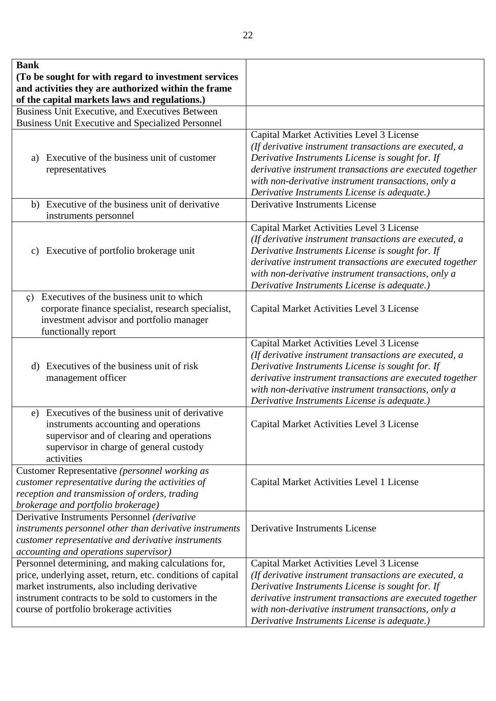| <b>Bank</b><br>(To be sought for with regard to investment services<br>and activities they are authorized within the frame<br>of the capital markets laws and regulations.)                                                                                            |                                                                                                                                                                                                                                                                                                                            |
|------------------------------------------------------------------------------------------------------------------------------------------------------------------------------------------------------------------------------------------------------------------------|----------------------------------------------------------------------------------------------------------------------------------------------------------------------------------------------------------------------------------------------------------------------------------------------------------------------------|
| Business Unit Executive, and Executives Between                                                                                                                                                                                                                        |                                                                                                                                                                                                                                                                                                                            |
| <b>Business Unit Executive and Specialized Personnel</b>                                                                                                                                                                                                               |                                                                                                                                                                                                                                                                                                                            |
| a) Executive of the business unit of customer<br>representatives                                                                                                                                                                                                       | Capital Market Activities Level 3 License<br>(If derivative instrument transactions are executed, a<br>Derivative Instruments License is sought for. If<br>derivative instrument transactions are executed together<br>with non-derivative instrument transactions, only a<br>Derivative Instruments License is adequate.) |
| b) Executive of the business unit of derivative<br>instruments personnel                                                                                                                                                                                               | Derivative Instruments License                                                                                                                                                                                                                                                                                             |
| c) Executive of portfolio brokerage unit                                                                                                                                                                                                                               | Capital Market Activities Level 3 License<br>(If derivative instrument transactions are executed, a<br>Derivative Instruments License is sought for. If<br>derivative instrument transactions are executed together<br>with non-derivative instrument transactions, only a<br>Derivative Instruments License is adequate.) |
| Executives of the business unit to which<br>$\mathfrak{c}$ )<br>corporate finance specialist, research specialist,<br>investment advisor and portfolio manager<br>functionally report                                                                                  | Capital Market Activities Level 3 License                                                                                                                                                                                                                                                                                  |
| d) Executives of the business unit of risk<br>management officer                                                                                                                                                                                                       | Capital Market Activities Level 3 License<br>(If derivative instrument transactions are executed, a<br>Derivative Instruments License is sought for. If<br>derivative instrument transactions are executed together<br>with non-derivative instrument transactions, only a<br>Derivative Instruments License is adequate.) |
| Executives of the business unit of derivative<br>e)<br>instruments accounting and operations<br>supervisor and of clearing and operations<br>supervisor in charge of general custody<br>activities                                                                     | Capital Market Activities Level 3 License                                                                                                                                                                                                                                                                                  |
| Customer Representative (personnel working as<br>customer representative during the activities of<br>reception and transmission of orders, trading<br>brokerage and portfolio brokerage)                                                                               | Capital Market Activities Level 1 License                                                                                                                                                                                                                                                                                  |
| Derivative Instruments Personnel (derivative<br>instruments personnel other than derivative instruments<br>customer representative and derivative instruments<br>accounting and operations supervisor)                                                                 | Derivative Instruments License                                                                                                                                                                                                                                                                                             |
| Personnel determining, and making calculations for,<br>price, underlying asset, return, etc. conditions of capital<br>market instruments, also including derivative<br>instrument contracts to be sold to customers in the<br>course of portfolio brokerage activities | Capital Market Activities Level 3 License<br>(If derivative instrument transactions are executed, a<br>Derivative Instruments License is sought for. If<br>derivative instrument transactions are executed together<br>with non-derivative instrument transactions, only a<br>Derivative Instruments License is adequate.) |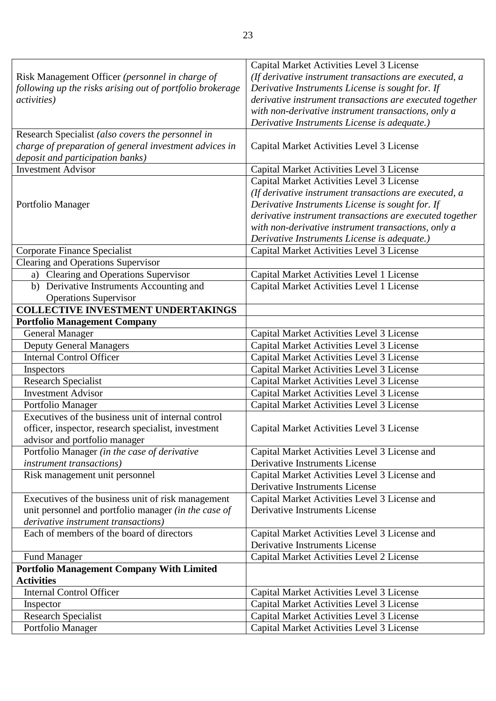|                                                                          | Capital Market Activities Level 3 License                                              |
|--------------------------------------------------------------------------|----------------------------------------------------------------------------------------|
| Risk Management Officer (personnel in charge of                          | (If derivative instrument transactions are executed, a                                 |
| following up the risks arising out of portfolio brokerage                | Derivative Instruments License is sought for. If                                       |
| <i>activities</i> )                                                      | derivative instrument transactions are executed together                               |
|                                                                          | with non-derivative instrument transactions, only a                                    |
|                                                                          | Derivative Instruments License is adequate.)                                           |
| Research Specialist (also covers the personnel in                        |                                                                                        |
| charge of preparation of general investment advices in                   | Capital Market Activities Level 3 License                                              |
| deposit and participation banks)                                         |                                                                                        |
| <b>Investment Advisor</b>                                                | Capital Market Activities Level 3 License                                              |
|                                                                          | Capital Market Activities Level 3 License                                              |
|                                                                          | (If derivative instrument transactions are executed, a                                 |
| Portfolio Manager                                                        | Derivative Instruments License is sought for. If                                       |
|                                                                          | derivative instrument transactions are executed together                               |
|                                                                          | with non-derivative instrument transactions, only a                                    |
|                                                                          | Derivative Instruments License is adequate.)                                           |
| Corporate Finance Specialist                                             | Capital Market Activities Level 3 License                                              |
| <b>Clearing and Operations Supervisor</b>                                |                                                                                        |
| a) Clearing and Operations Supervisor                                    | Capital Market Activities Level 1 License                                              |
| b) Derivative Instruments Accounting and                                 | Capital Market Activities Level 1 License                                              |
| <b>Operations Supervisor</b>                                             |                                                                                        |
| <b>COLLECTIVE INVESTMENT UNDERTAKINGS</b>                                |                                                                                        |
| <b>Portfolio Management Company</b>                                      |                                                                                        |
| <b>General Manager</b><br><b>Deputy General Managers</b>                 | Capital Market Activities Level 3 License<br>Capital Market Activities Level 3 License |
| <b>Internal Control Officer</b>                                          | Capital Market Activities Level 3 License                                              |
|                                                                          |                                                                                        |
| Inspectors                                                               | Capital Market Activities Level 3 License                                              |
| <b>Research Specialist</b><br><b>Investment Advisor</b>                  | Capital Market Activities Level 3 License                                              |
|                                                                          | Capital Market Activities Level 3 License                                              |
| Portfolio Manager<br>Executives of the business unit of internal control | Capital Market Activities Level 3 License                                              |
| officer, inspector, research specialist, investment                      | Capital Market Activities Level 3 License                                              |
| advisor and portfolio manager                                            |                                                                                        |
| Portfolio Manager (in the case of derivative                             | Capital Market Activities Level 3 License and                                          |
| <i>instrument transactions</i> )                                         | Derivative Instruments License                                                         |
| Risk management unit personnel                                           | Capital Market Activities Level 3 License and                                          |
|                                                                          | Derivative Instruments License                                                         |
| Executives of the business unit of risk management                       | Capital Market Activities Level 3 License and                                          |
| unit personnel and portfolio manager (in the case of                     | <b>Derivative Instruments License</b>                                                  |
| derivative instrument transactions)                                      |                                                                                        |
| Each of members of the board of directors                                | Capital Market Activities Level 3 License and                                          |
|                                                                          | Derivative Instruments License                                                         |
| <b>Fund Manager</b>                                                      | Capital Market Activities Level 2 License                                              |
| <b>Portfolio Management Company With Limited</b>                         |                                                                                        |
| <b>Activities</b>                                                        |                                                                                        |
| <b>Internal Control Officer</b>                                          | Capital Market Activities Level 3 License                                              |
| Inspector                                                                | Capital Market Activities Level 3 License                                              |
| <b>Research Specialist</b>                                               | Capital Market Activities Level 3 License                                              |
| Portfolio Manager                                                        | Capital Market Activities Level 3 License                                              |
|                                                                          |                                                                                        |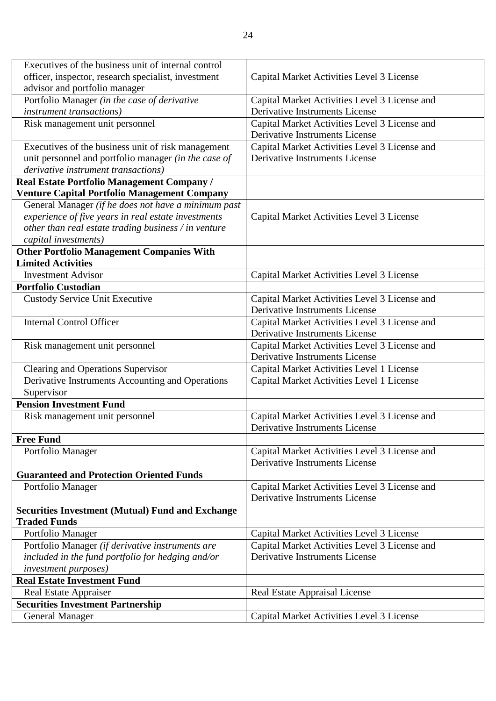| Executives of the business unit of internal control     |                                               |
|---------------------------------------------------------|-----------------------------------------------|
| officer, inspector, research specialist, investment     | Capital Market Activities Level 3 License     |
| advisor and portfolio manager                           |                                               |
| Portfolio Manager (in the case of derivative            | Capital Market Activities Level 3 License and |
| <i>instrument transactions</i> )                        | Derivative Instruments License                |
| Risk management unit personnel                          | Capital Market Activities Level 3 License and |
|                                                         | Derivative Instruments License                |
| Executives of the business unit of risk management      | Capital Market Activities Level 3 License and |
| unit personnel and portfolio manager (in the case of    | Derivative Instruments License                |
| derivative instrument transactions)                     |                                               |
| Real Estate Portfolio Management Company /              |                                               |
| <b>Venture Capital Portfolio Management Company</b>     |                                               |
| General Manager (if he does not have a minimum past     |                                               |
| experience of five years in real estate investments     | Capital Market Activities Level 3 License     |
| other than real estate trading business / in venture    |                                               |
| capital investments)                                    |                                               |
| <b>Other Portfolio Management Companies With</b>        |                                               |
| <b>Limited Activities</b>                               |                                               |
| <b>Investment Advisor</b>                               | Capital Market Activities Level 3 License     |
| <b>Portfolio Custodian</b>                              |                                               |
| <b>Custody Service Unit Executive</b>                   | Capital Market Activities Level 3 License and |
|                                                         | Derivative Instruments License                |
| <b>Internal Control Officer</b>                         | Capital Market Activities Level 3 License and |
|                                                         | Derivative Instruments License                |
| Risk management unit personnel                          | Capital Market Activities Level 3 License and |
|                                                         | Derivative Instruments License                |
| Clearing and Operations Supervisor                      | Capital Market Activities Level 1 License     |
| Derivative Instruments Accounting and Operations        | Capital Market Activities Level 1 License     |
| Supervisor                                              |                                               |
| <b>Pension Investment Fund</b>                          |                                               |
| Risk management unit personnel                          | Capital Market Activities Level 3 License and |
|                                                         | Derivative Instruments License                |
| <b>Free Fund</b>                                        |                                               |
| Portfolio Manager                                       | Capital Market Activities Level 3 License and |
|                                                         | Derivative Instruments License                |
| <b>Guaranteed and Protection Oriented Funds</b>         |                                               |
| Portfolio Manager                                       | Capital Market Activities Level 3 License and |
|                                                         | Derivative Instruments License                |
| <b>Securities Investment (Mutual) Fund and Exchange</b> |                                               |
| <b>Traded Funds</b>                                     |                                               |
| Portfolio Manager                                       | Capital Market Activities Level 3 License     |
| Portfolio Manager (if derivative instruments are        | Capital Market Activities Level 3 License and |
| included in the fund portfolio for hedging and/or       | Derivative Instruments License                |
| <i>investment purposes</i> )                            |                                               |
| <b>Real Estate Investment Fund</b>                      |                                               |
| <b>Real Estate Appraiser</b>                            | <b>Real Estate Appraisal License</b>          |
| <b>Securities Investment Partnership</b>                |                                               |
| <b>General Manager</b>                                  | Capital Market Activities Level 3 License     |
|                                                         |                                               |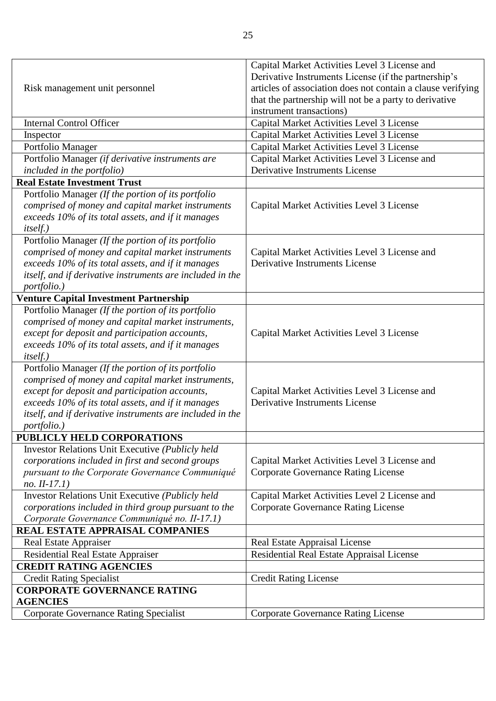|                                                           | Capital Market Activities Level 3 License and               |
|-----------------------------------------------------------|-------------------------------------------------------------|
| Risk management unit personnel                            | Derivative Instruments License (if the partnership's        |
|                                                           | articles of association does not contain a clause verifying |
|                                                           | that the partnership will not be a party to derivative      |
|                                                           | instrument transactions)                                    |
| <b>Internal Control Officer</b>                           | Capital Market Activities Level 3 License                   |
| Inspector                                                 | Capital Market Activities Level 3 License                   |
| Portfolio Manager                                         | Capital Market Activities Level 3 License                   |
| Portfolio Manager (if derivative instruments are          | Capital Market Activities Level 3 License and               |
| included in the portfolio)                                | <b>Derivative Instruments License</b>                       |
| <b>Real Estate Investment Trust</b>                       |                                                             |
| Portfolio Manager (If the portion of its portfolio        |                                                             |
| comprised of money and capital market instruments         | Capital Market Activities Level 3 License                   |
| exceeds 10% of its total assets, and if it manages        |                                                             |
| <i>itself.</i> )                                          |                                                             |
| Portfolio Manager (If the portion of its portfolio        |                                                             |
| comprised of money and capital market instruments         | Capital Market Activities Level 3 License and               |
| exceeds 10% of its total assets, and if it manages        | <b>Derivative Instruments License</b>                       |
| itself, and if derivative instruments are included in the |                                                             |
| portfolio.)                                               |                                                             |
| <b>Venture Capital Investment Partnership</b>             |                                                             |
| Portfolio Manager (If the portion of its portfolio        |                                                             |
| comprised of money and capital market instruments,        |                                                             |
| except for deposit and participation accounts,            | Capital Market Activities Level 3 License                   |
| exceeds 10% of its total assets, and if it manages        |                                                             |
| <i>itself.</i> )                                          |                                                             |
| Portfolio Manager (If the portion of its portfolio        |                                                             |
| comprised of money and capital market instruments,        |                                                             |
| except for deposit and participation accounts,            | Capital Market Activities Level 3 License and               |
| exceeds 10% of its total assets, and if it manages        | Derivative Instruments License                              |
| itself, and if derivative instruments are included in the |                                                             |
| portfolio.)                                               |                                                             |
| PUBLICLY HELD CORPORATIONS                                |                                                             |
| Investor Relations Unit Executive (Publicly held          |                                                             |
| corporations included in first and second groups          | Capital Market Activities Level 3 License and               |
| pursuant to the Corporate Governance Communiqué           | <b>Corporate Governance Rating License</b>                  |
| $no. II-17.1)$                                            |                                                             |
| Investor Relations Unit Executive (Publicly held          | Capital Market Activities Level 2 License and               |
| corporations included in third group pursuant to the      | <b>Corporate Governance Rating License</b>                  |
| Corporate Governance Communiqué no. II-17.1)              |                                                             |
| REAL ESTATE APPRAISAL COMPANIES                           |                                                             |
| Real Estate Appraiser                                     | Real Estate Appraisal License                               |
| Residential Real Estate Appraiser                         | Residential Real Estate Appraisal License                   |
| <b>CREDIT RATING AGENCIES</b>                             |                                                             |
| <b>Credit Rating Specialist</b>                           | <b>Credit Rating License</b>                                |
| <b>CORPORATE GOVERNANCE RATING</b>                        |                                                             |
| <b>AGENCIES</b>                                           |                                                             |
| <b>Corporate Governance Rating Specialist</b>             | <b>Corporate Governance Rating License</b>                  |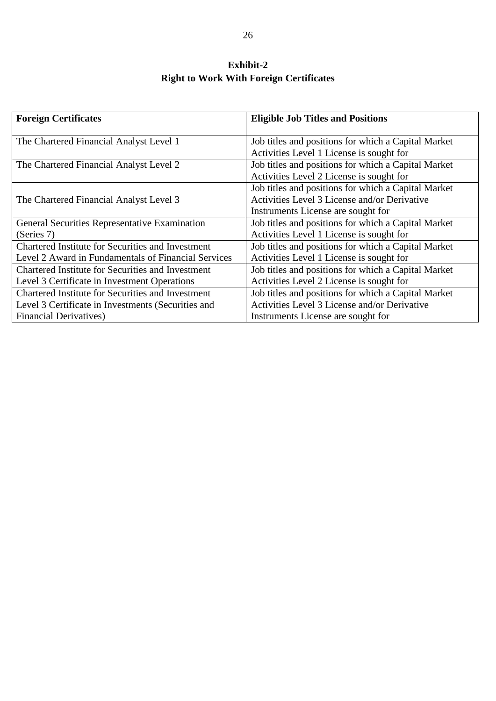# **Exhibit-2 Right to Work With Foreign Certificates**

| <b>Foreign Certificates</b>                         | <b>Eligible Job Titles and Positions</b>                                                                                                  |
|-----------------------------------------------------|-------------------------------------------------------------------------------------------------------------------------------------------|
| The Chartered Financial Analyst Level 1             | Job titles and positions for which a Capital Market<br>Activities Level 1 License is sought for                                           |
| The Chartered Financial Analyst Level 2             | Job titles and positions for which a Capital Market<br>Activities Level 2 License is sought for                                           |
| The Chartered Financial Analyst Level 3             | Job titles and positions for which a Capital Market<br>Activities Level 3 License and/or Derivative<br>Instruments License are sought for |
| General Securities Representative Examination       | Job titles and positions for which a Capital Market                                                                                       |
| (Series 7)                                          | Activities Level 1 License is sought for                                                                                                  |
| Chartered Institute for Securities and Investment   | Job titles and positions for which a Capital Market                                                                                       |
| Level 2 Award in Fundamentals of Financial Services | Activities Level 1 License is sought for                                                                                                  |
| Chartered Institute for Securities and Investment   | Job titles and positions for which a Capital Market                                                                                       |
| Level 3 Certificate in Investment Operations        | Activities Level 2 License is sought for                                                                                                  |
| Chartered Institute for Securities and Investment   | Job titles and positions for which a Capital Market                                                                                       |
| Level 3 Certificate in Investments (Securities and  | Activities Level 3 License and/or Derivative                                                                                              |
| <b>Financial Derivatives</b> )                      | Instruments License are sought for                                                                                                        |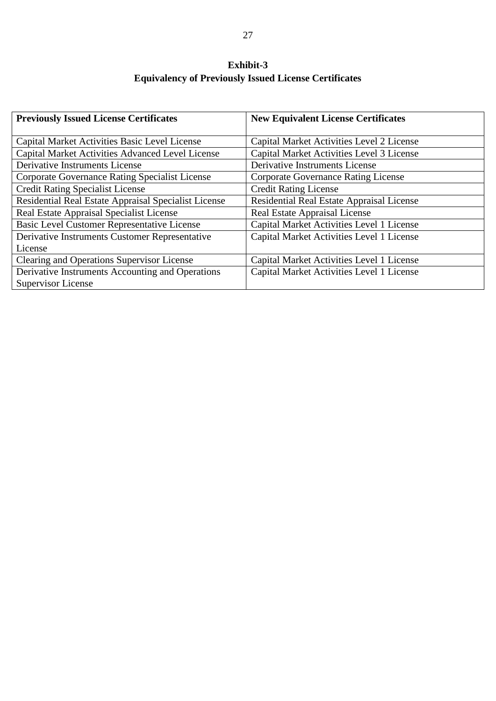# **Exhibit-3 Equivalency of Previously Issued License Certificates**

| <b>Previously Issued License Certificates</b>         | <b>New Equivalent License Certificates</b> |
|-------------------------------------------------------|--------------------------------------------|
|                                                       |                                            |
| Capital Market Activities Basic Level License         | Capital Market Activities Level 2 License  |
| Capital Market Activities Advanced Level License      | Capital Market Activities Level 3 License  |
| Derivative Instruments License                        | Derivative Instruments License             |
| <b>Corporate Governance Rating Specialist License</b> | <b>Corporate Governance Rating License</b> |
| <b>Credit Rating Specialist License</b>               | <b>Credit Rating License</b>               |
| Residential Real Estate Appraisal Specialist License  | Residential Real Estate Appraisal License  |
| Real Estate Appraisal Specialist License              | Real Estate Appraisal License              |
| <b>Basic Level Customer Representative License</b>    | Capital Market Activities Level 1 License  |
| Derivative Instruments Customer Representative        | Capital Market Activities Level 1 License  |
| License                                               |                                            |
| Clearing and Operations Supervisor License            | Capital Market Activities Level 1 License  |
| Derivative Instruments Accounting and Operations      | Capital Market Activities Level 1 License  |
| <b>Supervisor License</b>                             |                                            |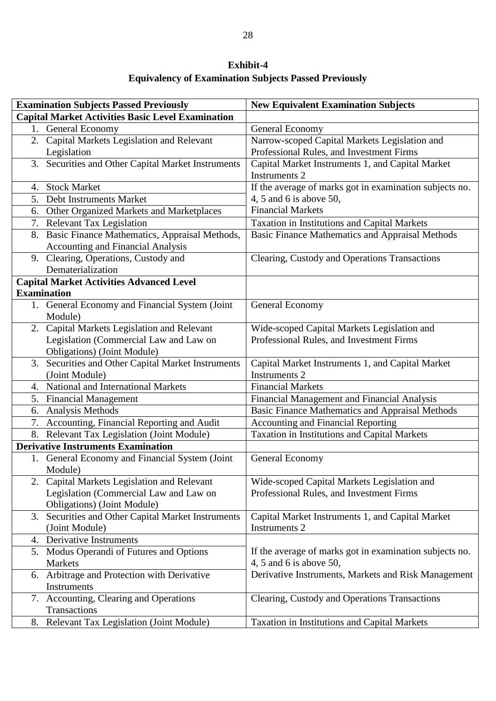| <b>Exhibit-4</b>                                             |  |
|--------------------------------------------------------------|--|
| <b>Equivalency of Examination Subjects Passed Previously</b> |  |

|    | <b>Examination Subjects Passed Previously</b>            | <b>New Equivalent Examination Subjects</b>              |
|----|----------------------------------------------------------|---------------------------------------------------------|
|    | <b>Capital Market Activities Basic Level Examination</b> |                                                         |
|    | 1. General Economy                                       | General Economy                                         |
|    | 2. Capital Markets Legislation and Relevant              | Narrow-scoped Capital Markets Legislation and           |
|    | Legislation                                              | Professional Rules, and Investment Firms                |
| 3. | Securities and Other Capital Market Instruments          | Capital Market Instruments 1, and Capital Market        |
|    |                                                          | Instruments 2                                           |
|    | 4. Stock Market                                          | If the average of marks got in examination subjects no. |
|    | 5. Debt Instruments Market                               | 4, 5 and 6 is above 50,                                 |
| 6. | Other Organized Markets and Marketplaces                 | <b>Financial Markets</b>                                |
|    | 7. Relevant Tax Legislation                              | Taxation in Institutions and Capital Markets            |
|    | 8. Basic Finance Mathematics, Appraisal Methods,         | <b>Basic Finance Mathematics and Appraisal Methods</b>  |
|    | Accounting and Financial Analysis                        |                                                         |
|    | 9. Clearing, Operations, Custody and                     | Clearing, Custody and Operations Transactions           |
|    | Dematerialization                                        |                                                         |
|    | <b>Capital Market Activities Advanced Level</b>          |                                                         |
|    | <b>Examination</b>                                       |                                                         |
|    | 1. General Economy and Financial System (Joint           | General Economy                                         |
|    | Module)                                                  |                                                         |
|    | 2. Capital Markets Legislation and Relevant              | Wide-scoped Capital Markets Legislation and             |
|    | Legislation (Commercial Law and Law on                   | Professional Rules, and Investment Firms                |
|    | Obligations) (Joint Module)                              |                                                         |
| 3. | Securities and Other Capital Market Instruments          | Capital Market Instruments 1, and Capital Market        |
|    | (Joint Module)                                           | <b>Instruments 2</b>                                    |
|    | 4. National and International Markets                    | <b>Financial Markets</b>                                |
|    | 5. Financial Management                                  | Financial Management and Financial Analysis             |
| 6. | <b>Analysis Methods</b>                                  | <b>Basic Finance Mathematics and Appraisal Methods</b>  |
|    | 7. Accounting, Financial Reporting and Audit             | <b>Accounting and Financial Reporting</b>               |
|    | 8. Relevant Tax Legislation (Joint Module)               | Taxation in Institutions and Capital Markets            |
|    | <b>Derivative Instruments Examination</b>                |                                                         |
|    | 1. General Economy and Financial System (Joint           | General Economy                                         |
|    | Module)                                                  |                                                         |
| 2. | Capital Markets Legislation and Relevant                 | Wide-scoped Capital Markets Legislation and             |
|    | Legislation (Commercial Law and Law on                   | Professional Rules, and Investment Firms                |
|    | <b>Obligations</b> ) (Joint Module)                      |                                                         |
| 3. | Securities and Other Capital Market Instruments          | Capital Market Instruments 1, and Capital Market        |
|    | (Joint Module)                                           | <b>Instruments 2</b>                                    |
| 4. | Derivative Instruments                                   |                                                         |
|    | 5. Modus Operandi of Futures and Options                 | If the average of marks got in examination subjects no. |
|    | Markets                                                  | 4, 5 and 6 is above 50,                                 |
|    | 6. Arbitrage and Protection with Derivative              | Derivative Instruments, Markets and Risk Management     |
|    | Instruments                                              |                                                         |
|    | 7. Accounting, Clearing and Operations                   | Clearing, Custody and Operations Transactions           |
|    | Transactions                                             |                                                         |
|    | 8. Relevant Tax Legislation (Joint Module)               | Taxation in Institutions and Capital Markets            |